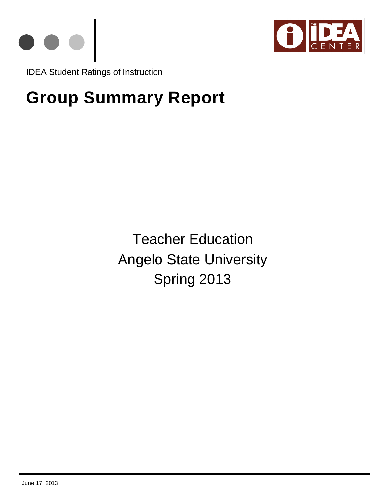



IDEA Student Ratings of Instruction

# **Group Summary Report**

Teacher Education Angelo State University Spring 2013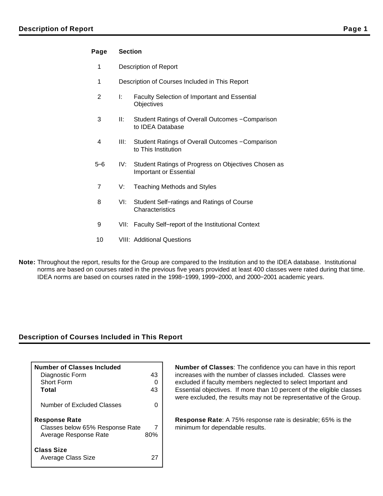#### **Page Section**

- 1 Description of Report
- 1 Description of Courses Included in This Report
- 2 I: Faculty Selection of Important and Essential **Objectives**
- 3 II: Student Ratings of Overall Outcomes − Comparison to IDEA Database
- 4 III: Student Ratings of Overall Outcomes − Comparison to This Institution
- 5−6 IV: Student Ratings of Progress on Objectives Chosen as Important or Essential
- 7 V: Teaching Methods and Styles
- 8 VI: Student Self−ratings and Ratings of Course **Characteristics**
- 9 VII: Faculty Self–report of the Institutional Context
- 10 VIII: Additional Questions
- **Note:** Throughout the report, results for the Group are compared to the Institution and to the IDEA database. Institutional norms are based on courses rated in the previous five years provided at least 400 classes were rated during that time. IDEA norms are based on courses rated in the 1998−1999, 1999−2000, and 2000−2001 academic years.

#### **Description of Courses Included in This Report**

| <b>Number of Classes Included</b>       |     |
|-----------------------------------------|-----|
| Diagnostic Form                         | 43  |
| <b>Short Form</b>                       |     |
| Total                                   | 43  |
| Number of Excluded Classes              |     |
| <b>Response Rate</b>                    |     |
| Classes below 65% Response Rate         |     |
| Average Response Rate                   | 80% |
| <b>Class Size</b><br>Average Class Size |     |

**Number of Classes**: The confidence you can have in this report increases with the number of classes included. Classes were excluded if faculty members neglected to select Important and Essential objectives. If more than 10 percent of the eligible classes were excluded, the results may not be representative of the Group.

**Response Rate**: A 75% response rate is desirable; 65% is the minimum for dependable results.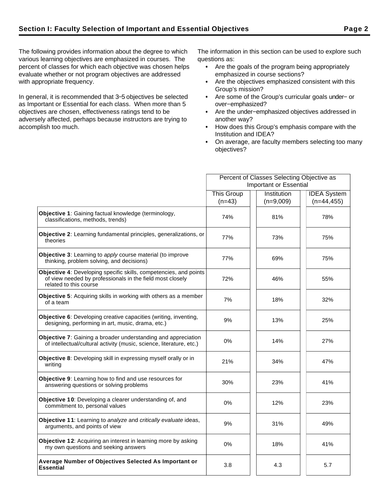The following provides information about the degree to which various learning objectives are emphasized in courses. The percent of classes for which each objective was chosen helps evaluate whether or not program objectives are addressed with appropriate frequency.

In general, it is recommended that 3−5 objectives be selected as Important or Essential for each class. When more than 5 objectives are chosen, effectiveness ratings tend to be adversely affected, perhaps because instructors are trying to accomplish too much.

The information in this section can be used to explore such questions as:

- Are the goals of the program being appropriately emphasized in course sections?
- Are the objectives emphasized consistent with this Group's mission?
- Are some of the Group's curricular goals under− or over−emphasized?
- Are the under−emphasized objectives addressed in another way?
- How does this Group's emphasis compare with the Institution and IDEA?
- On average, are faculty members selecting too many objectives?

|                                                                                                                                                          | Percent of Classes Selecting Objective as |             |                    |  |  |
|----------------------------------------------------------------------------------------------------------------------------------------------------------|-------------------------------------------|-------------|--------------------|--|--|
|                                                                                                                                                          | <b>Important or Essential</b>             |             |                    |  |  |
|                                                                                                                                                          | <b>This Group</b>                         | Institution | <b>IDEA</b> System |  |  |
|                                                                                                                                                          | $(n=43)$                                  | $(n=9,009)$ | $(n=44, 455)$      |  |  |
| Objective 1: Gaining factual knowledge (terminology,<br>classifications, methods, trends)                                                                | 74%                                       | 81%         | 78%                |  |  |
| Objective 2: Learning fundamental principles, generalizations, or<br>theories                                                                            | 77%                                       | 73%         | 75%                |  |  |
| <b>Objective 3:</b> Learning to apply course material (to improve<br>thinking, problem solving, and decisions)                                           | 77%                                       | 69%         | 75%                |  |  |
| Objective 4: Developing specific skills, competencies, and points<br>of view needed by professionals in the field most closely<br>related to this course | 72%                                       | 46%         | 55%                |  |  |
| <b>Objective 5:</b> Acquiring skills in working with others as a member<br>of a team                                                                     | 7%                                        | 18%         | 32%                |  |  |
| Objective 6: Developing creative capacities (writing, inventing,<br>designing, performing in art, music, drama, etc.)                                    | 9%                                        | 13%         | 25%                |  |  |
| <b>Objective 7:</b> Gaining a broader understanding and appreciation<br>of intellectual/cultural activity (music, science, literature, etc.)             | $0\%$                                     | 14%         | 27%                |  |  |
| Objective 8: Developing skill in expressing myself orally or in<br>writing                                                                               | 21%                                       | 34%         | 47%                |  |  |
| Objective 9: Learning how to find and use resources for<br>answering questions or solving problems                                                       | 30%                                       | 23%         | 41%                |  |  |
| Objective 10: Developing a clearer understanding of, and<br>commitment to, personal values                                                               | 0%                                        | 12%         | 23%                |  |  |
| <b>Objective 11:</b> Learning to analyze and critically evaluate ideas,<br>arguments, and points of view                                                 | 9%                                        | 31%         | 49%                |  |  |
| Objective 12: Acquiring an interest in learning more by asking<br>my own questions and seeking answers                                                   | 0%                                        | 18%         | 41%                |  |  |
| Average Number of Objectives Selected As Important or<br><b>Essential</b>                                                                                | 3.8                                       | 4.3         | 5.7                |  |  |
|                                                                                                                                                          |                                           |             |                    |  |  |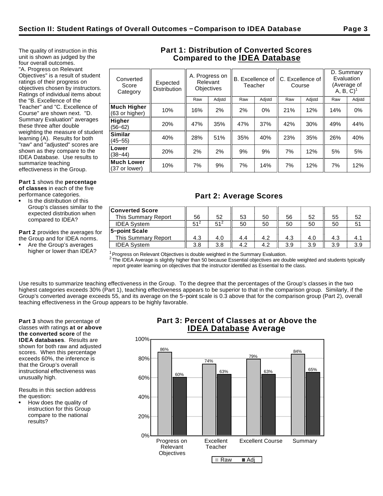The quality of instruction in this unit is shown as judged by the four overall outcomes. "A. Progress on Relevant Objectives" is a result of student ratings of their progress on objectives chosen by instructors. Ratings of individual items about the "B. Excellence of the Teacher" and "C. Excellence of Course" are shown next. "D. Summary Evaluation" averages these three after double weighting the measure of student learning (A). Results for both "raw" and "adjusted" scores are shown as they compare to the IDEA Database. Use results to

**Part 1** shows the **percentage of classes** in each of the five performance categories.

summarize teaching effectiveness in the Group.

Is the distribution of this Group's classes similar to the expected distribution when compared to IDEA?

**Part 2** provides the averages for the Group and for IDEA norms.

Are the Group's averages higher or lower than IDEA?

# **Part 1: Distribution of Converted Scores Compared to the IDEA Database**

| Expected<br><b>Distribution</b> | A. Progress on<br>Relevant<br><b>Objectives</b> |        | B. Excellence of I<br>Teacher |        | Course |        | D. Summary<br>Evaluation<br>(Average of<br>$A, B, C$ <sup>1</sup> |        |
|---------------------------------|-------------------------------------------------|--------|-------------------------------|--------|--------|--------|-------------------------------------------------------------------|--------|
|                                 | Raw                                             | Adjstd | Raw                           | Adjstd | Raw    | Adjstd | Raw                                                               | Adjstd |
| 10%                             | 16%                                             | 2%     | 2%                            | 0%     | 21%    | 12%    | 14%                                                               | 0%     |
| 20%                             | 47%                                             | 35%    | 47%                           | 37%    | 42%    | 30%    | 49%                                                               | 44%    |
| 40%                             | 28%                                             | 51%    | 35%                           | 40%    | 23%    | 35%    | 26%                                                               | 40%    |
| 20%                             | 2%                                              | 2%     | 9%                            | 9%     | 7%     | 12%    | 5%                                                                | 5%     |
| 10%                             | 7%                                              | 9%     | 7%                            | 14%    | 7%     | 12%    | 7%                                                                | 12%    |
|                                 |                                                 |        |                               |        |        |        | C. Excellence of                                                  |        |

# **Part 2: Average Scores**

| <b>Converted Score</b> |                 |          |     |     |     |     |     |     |
|------------------------|-----------------|----------|-----|-----|-----|-----|-----|-----|
| This Summary Report    | 56              | 52       | 53  | 50  | 56  | 52  | 55  | 52  |
| <b>IDEA System</b>     | 51 <sup>2</sup> | $51^{2}$ | 50  | 50  | 50  | 50  | 50  |     |
| 5-point Scale          |                 |          |     |     |     |     |     |     |
| This Summary Report    | 4.3             | 4.0      | 4.4 | 4.2 | 4.3 | 4.0 | 4.3 | 4.1 |
| <b>IDEA System</b>     | 3.8             | 3.8      | 4.2 | 4.2 | 3.9 | 3.9 | 3.9 | 3.9 |

 $1$ Progress on Relevant Objectives is double weighted in the Summary Evaluation.

 $^2$  The IDEA Average is slightly higher than 50 because Essential objectives are double weighted and students typically report greater learning on objectives that the instructor identified as Essential to the class.

Use results to summarize teaching effectiveness in the Group. To the degree that the percentages of the Group's classes in the two highest categories exceeds 30% (Part 1), teaching effectiveness appears to be superior to that in the comparison group. Similarly, if the Group's converted average exceeds 55, and its average on the 5−point scale is 0.3 above that for the comparison group (Part 2), overall teaching effectiveness in the Group appears to be highly favorable.

**Part 3** shows the percentage of classes with ratings **at or above the converted score** of the **IDEA databases**. Results are shown for both raw and adjusted scores. When this percentage exceeds 60%, the inference is that the Group's overall instructional effectiveness was unusually high.

Results in this section address the question:

How does the quality of instruction for this Group compare to the national results?

# **Part 3: Percent of Classes at or Above the IDEA Database Average**

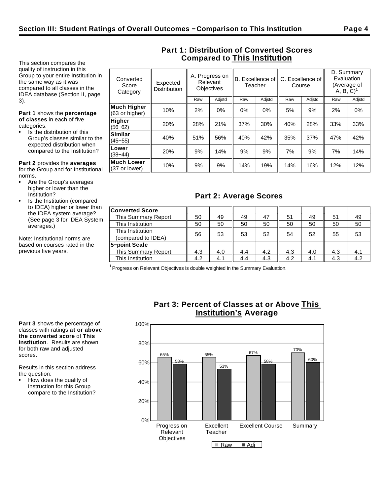This section compares the quality of instruction in this Group to your entire Institution in the same way as it was compared to all classes in the IDEA database (Section II, page 3).

**Part 1** shows the **percentage of classes** in each of five categories.

Is the distribution of this Group's classes similar to the expected distribution when compared to the Institution?

**Similar**

**Lower**<br>(38–44)

**Much Lower**

**Part 2** provides the **averages** for the Group and for Institutional norms.

- Are the Group's averages higher or lower than the Institution?
- Is the Institution (compared to IDEA) higher or lower than the IDEA system average? (See page 3 for IDEA System averages.)

Note: Institutional norms are based on courses rated in the previous five years.

| Converted<br>Score<br>Category       | Expected<br><b>Distribution</b> |     | A. Progress on<br>Relevant<br>Teacher<br><b>Objectives</b> |       | B. Excellence of IC. Excellence of<br>Course |     |        | D. Summary<br>Evaluation<br>(Average of<br>A, B, C) |        |
|--------------------------------------|---------------------------------|-----|------------------------------------------------------------|-------|----------------------------------------------|-----|--------|-----------------------------------------------------|--------|
|                                      |                                 | Raw | Adjstd                                                     | Raw   | Adjstd                                       | Raw | Adjstd | Raw                                                 | Adjstd |
| <b>Much Higher</b><br>(63 or higher) | 10%                             | 2%  | 0%                                                         | $0\%$ | $0\%$                                        | 5%  | 9%     | 2%                                                  | $0\%$  |
| <b>Higher</b><br>$(56 - 62)$         | 20%                             | 28% | 21%                                                        | 37%   | 30%                                          | 40% | 28%    | 33%                                                 | 33%    |

(45−55) 40% 51% 56% 40% 42% 35% 37% 47% 42%

(38−44) 20% 9% 14% 9% 9% 7% 9% 7% 14%

|| 10% || 9% || 9% || 14% || 19% || 14% || 16% || 12% || 12%<br>(37 or lower) || 10% || 9% || 9% || 14% || 19% || 14% || 16% || 12% || 12%

**Part 1: Distribution of Converted Scores Compared to This Institution**

# **Part 2: Average Scores**

| <b>Converted Score</b> |     |     |     |     |     |     |     |     |
|------------------------|-----|-----|-----|-----|-----|-----|-----|-----|
| This Summary Report    | 50  | 49  | 49  | 47  | 51  | 49  | 51  | 49  |
| This Institution       | 50  | 50  | 50  | 50  | 50  | 50  | 50  | 50  |
| This Institution       |     |     |     |     |     |     |     |     |
| (compared to IDEA)     | 56  | 53  | 53  | 52  | 54  | 52  | 55  | 53  |
| 5-point Scale          |     |     |     |     |     |     |     |     |
| This Summary Report    | 4.3 | 4.0 | 4.4 | 4.2 | 4.3 | 4.0 | 4.3 | 4.1 |
| This Institution       | 4.2 | 4.1 | 4.4 | 4.3 | 4.2 | 4.1 | 4.3 | 4.2 |

 $1$  Progress on Relevant Objectives is double weighted in the Summary Evaluation.

**Part 3** shows the percentage of classes with ratings **at or above the converted score** of **This Institution**. Results are shown for both raw and adjusted scores.

Results in this section address the question:

How does the quality of instruction for this Group compare to the Institution?

# **Part 3: Percent of Classes at or Above This Institution's Average**

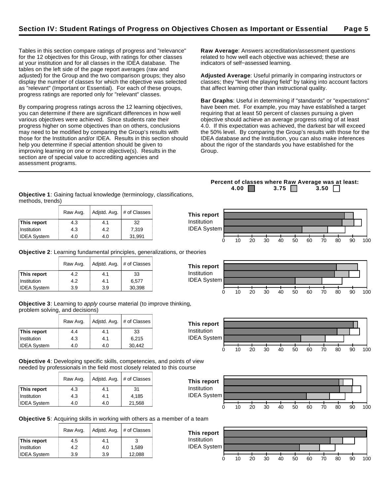**This report** Institution IDEA System

Tables in this section compare ratings of progress and "relevance" for the 12 objectives for this Group, with ratings for other classes at your institution and for all classes in the IDEA database. The tables on the left side of the page report averages (raw and adjusted) for the Group and the two comparison groups; they also display the number of classes for which the objective was selected as "relevant" (Important or Essential). For each of these groups, progress ratings are reported only for "relevant" classes.

By comparing progress ratings across the 12 learning objectives, you can determine if there are significant differences in how well various objectives were achieved. Since students rate their progress higher on some objectives than on others, conclusions may need to be modified by comparing the Group's results with those for the Institution and/or IDEA. Results in this section should help you determine if special attention should be given to improving learning on one or more objective(s). Results in the section are of special value to accrediting agencies and assessment programs.

**Raw Average**: Answers accreditation/assessment questions related to how well each objective was achieved; these are indicators of self−assessed learning.

**Adjusted Average**: Useful primarily in comparing instructors or classes; they "level the playing field" by taking into account factors that affect learning other than instructional quality.

**Bar Graphs**: Useful in determining if "standards" or "expectations" have been met. For example, you may have established a target requiring that at least 50 percent of classes pursuing a given objective should achieve an average progress rating of at least 4.0. If this expectation was achieved, the darkest bar will exceed the 50% level. By comparing the Group's results with those for the IDEA database and the Institution, you can also make inferences about the rigor of the standards you have established for the Group.

**Percent of classes where Raw Average was at least: 4.00 3.75 3.50** 

**Objective 1**: Gaining factual knowledge (terminology, classifications, methods, trends)

|                    | Raw Avg. | Adjstd. Avg. | # of Classes |
|--------------------|----------|--------------|--------------|
| This report        | 4.3      | 4.1          | 32           |
| Institution        | 4.3      | 4.2          | 7.319        |
| <b>IDEA System</b> | 4.0      | 4.0          | 31,991       |

**Objective 2**: Learning fundamental principles, generalizations, or theories

|                    | Raw Avg. | Adjstd. Avg. | # of Classes |
|--------------------|----------|--------------|--------------|
| This report        | 4.2      | 4.1          | 33           |
| Institution        | 4.2      | 4.1          | 6.577        |
| <b>IDEA System</b> | 3.9      | 3.9          | 30,398       |

**Objective 3**: Learning to apply course material (to improve thinking, problem solving, and decisions)

|                    | Raw Avg. | Adjstd. Avg. | # of Classes |
|--------------------|----------|--------------|--------------|
| This report        | 4.4      | 4.1          | 33           |
| Institution        | 4.3      | 4.1          | 6.215        |
| <b>IDEA System</b> | 4.0      | 4.0          | 30,442       |

**Objective 4**: Developing specific skills, competencies, and points of view needed by professionals in the field most closely related to this course

|                    | Raw Avg. | Adjstd. Avg. | # of Classes |
|--------------------|----------|--------------|--------------|
| This report        | 4.3      | 4.1          | 31           |
| Institution        | 4.3      | 4.1          | 4,185        |
| <b>IDEA System</b> | 4.0      | 4.0          | 21,568       |



**Objective 5**: Acquiring skills in working with others as a member of a team

|                    | Raw Avg. | Adjstd. Avg. | # of Classes |
|--------------------|----------|--------------|--------------|
| This report        | 4.5      | 4.1          | 3            |
| Institution        | 4.2      | 4.0          | 1.589        |
| <b>IDEA</b> System | 3.9      | 3.9          | 12,088       |



# 0 10 20 30 40 50 60 70 80 90 100



0 10 20 30 40 50 60 70 80 90 100

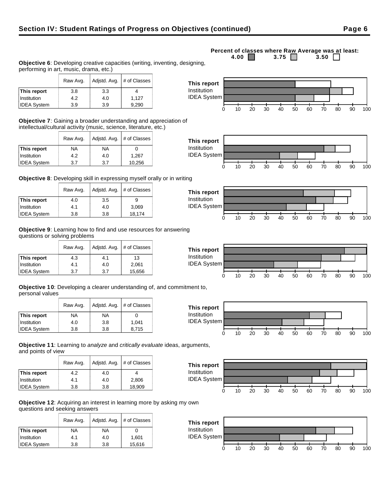### Institution | 4.2 | 4.0 | 1,127 IDEA System 3.9 3.9 9,290

Raw Avg.  $\vert$  Adjstd. Avg.  $\vert \#$  of Classes

**Objective 6**: Developing creative capacities (writing, inventing, designing,

**Objective 7**: Gaining a broader understanding and appreciation of intellectual/cultural activity (music, science, literature, etc.)

|                    | Raw Avg.  | Adjstd. Avg. | # of Classes |
|--------------------|-----------|--------------|--------------|
| This report        | <b>NA</b> | ΝA           |              |
| Institution        | 4.2       | 4.0          | 1.267        |
| <b>IDEA System</b> | 3.7       | 3.7          | 10,256       |

performing in art, music, drama, etc.)

**This report**  $\begin{array}{|c|c|c|c|} \hline \end{array}$  3.8  $\begin{array}{|c|c|c|} \hline \end{array}$  3.3  $\begin{array}{|c|c|c|} \hline \end{array}$  4

**Objective 8**: Developing skill in expressing myself orally or in writing

|                    | Raw Avg. |     | Adjstd. Avg.   # of Classes |
|--------------------|----------|-----|-----------------------------|
| This report        | 4.0      | 3.5 |                             |
| Institution        | 4.1      | 4.0 | 3,069                       |
| <b>IDEA System</b> | 3.8      | 3.8 | 18,174                      |

**Objective 9**: Learning how to find and use resources for answering questions or solving problems

|                    | Raw Avg. | Adjstd. Avg. | # of Classes |
|--------------------|----------|--------------|--------------|
| This report        | 4.3      | 4.1          | 13           |
| Institution        | 4.1      | 4.0          | 2,061        |
| <b>IDEA System</b> | 3.7      | 3.7          | 15,656       |

**Objective 10**: Developing a clearer understanding of, and commitment to, personal values

|                    | Raw Avg. | Adjstd. Avg.<br># of Classes |       |
|--------------------|----------|------------------------------|-------|
| This report        | ΝA       | NA                           |       |
| Institution        | 4.0      | 3.8                          | 1.041 |
| <b>IDEA System</b> | 3.8      | 3.8                          | 8,715 |

**Objective 11**: Learning to analyze and critically evaluate ideas, arguments, and points of view

|                    | Raw Avg. | Adjstd. Avg. | # of Classes |
|--------------------|----------|--------------|--------------|
| This report        | 4.2      | 4.0          |              |
| Institution        | 4.1      | 4.0          | 2,806        |
| <b>IDEA System</b> | 3.8      | 3.8          | 18,909       |

**Objective 12**: Acquiring an interest in learning more by asking my own questions and seeking answers

|                    | Raw Avg.  | Adjstd. Avg. | # of Classes |
|--------------------|-----------|--------------|--------------|
| This report        | <b>NA</b> | <b>NA</b>    |              |
| Institution        | 4.1       | 4.0          | 1.601        |
| <b>IDEA System</b> | 3.8       | 3.8          | 15,616       |

#### **Percent of classes where Raw Average was at least:**<br>4.00 3.75 3.50 3.50 3.75  $\Box$















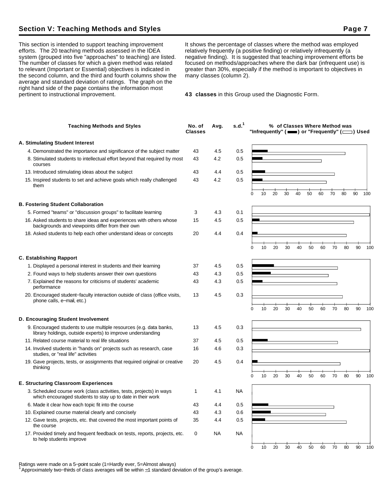# **Section V: Teaching Methods and Styles Page 7**

This section is intended to support teaching improvement efforts. The 20 teaching methods assessed in the IDEA system (grouped into five "approaches" to teaching) are listed. The number of classes for which a given method was related to relevant (Important or Essential) objectives is indicated in the second column, and the third and fourth columns show the average and standard deviation of ratings. The graph on the right hand side of the page contains the information most pertinent to instructional improvement.

It shows the percentage of classes where the method was employed relatively frequently (a positive finding) or relatively infrequently (a negative finding). It is suggested that teaching improvement efforts be focused on methods/approaches where the dark bar (infrequent use) is greater than 30%, especially if the method is important to objectives in many classes (column 2).

**43 classes** in this Group used the Diagnostic Form.

| <b>Teaching Methods and Styles</b>                                                                                                 | No. of<br><b>Classes</b> | Avg. | s.d. <sup>1</sup> |   |    |    |    |    |    |    |    | % of Classes Where Method was | "Infrequently" ( $\equiv$ ) or "Frequently" ( $\equiv$ ) Used |        |
|------------------------------------------------------------------------------------------------------------------------------------|--------------------------|------|-------------------|---|----|----|----|----|----|----|----|-------------------------------|---------------------------------------------------------------|--------|
| A. Stimulating Student Interest                                                                                                    |                          |      |                   |   |    |    |    |    |    |    |    |                               |                                                               |        |
| 4. Demonstrated the importance and significance of the subject matter                                                              | 43                       | 4.5  | 0.5               |   |    |    |    |    |    |    |    |                               |                                                               |        |
| 8. Stimulated students to intellectual effort beyond that required by most<br>courses                                              | 43                       | 4.2  | 0.5               |   |    |    |    |    |    |    |    |                               |                                                               |        |
| 13. Introduced stimulating ideas about the subject                                                                                 | 43                       | 4.4  | 0.5               |   |    |    |    |    |    |    |    |                               |                                                               |        |
| 15. Inspired students to set and achieve goals which really challenged<br>them                                                     | 43                       | 4.2  | 0.5               | 0 | 10 | 20 | 30 | 40 | 50 | 60 | 70 | 80                            | 90                                                            | 100    |
| <b>B. Fostering Student Collaboration</b>                                                                                          |                          |      |                   |   |    |    |    |    |    |    |    |                               |                                                               |        |
| 5. Formed "teams" or "discussion groups" to facilitate learning                                                                    |                          | 4.3  | 0.1               |   |    |    |    |    |    |    |    |                               |                                                               |        |
| 16. Asked students to share ideas and experiences with others whose<br>backgrounds and viewpoints differ from their own            | 3<br>15                  | 4.5  | 0.5               |   |    |    |    |    |    |    |    |                               |                                                               |        |
| 18. Asked students to help each other understand ideas or concepts                                                                 | 20                       | 4.4  | 0.4               |   |    |    |    |    |    |    |    |                               |                                                               |        |
|                                                                                                                                    |                          |      |                   | 0 | 10 | 20 | 30 | 40 | 50 | 60 | 70 | 80                            | 90                                                            | 100    |
| <b>C. Establishing Rapport</b>                                                                                                     |                          |      |                   |   |    |    |    |    |    |    |    |                               |                                                               |        |
| 1. Displayed a personal interest in students and their learning                                                                    | 37                       | 4.5  | 0.5               |   |    |    |    |    |    |    |    |                               |                                                               |        |
| 2. Found ways to help students answer their own questions                                                                          | 43                       | 4.3  | 0.5               |   |    |    |    |    |    |    |    |                               |                                                               |        |
| 7. Explained the reasons for criticisms of students' academic<br>performance                                                       | 43                       | 4.3  | 0.5               |   |    |    |    |    |    |    |    |                               |                                                               |        |
| 20. Encouraged student-faculty interaction outside of class (office visits,<br>phone calls, e-mail, etc.)                          | 13                       | 4.5  | 0.3               | 0 | 10 | 20 | 30 | 40 | 50 | 60 | 70 | 80                            | 90                                                            | 100    |
| D. Encouraging Student Involvement                                                                                                 |                          |      |                   |   |    |    |    |    |    |    |    |                               |                                                               |        |
| 9. Encouraged students to use multiple resources (e.g. data banks,                                                                 |                          | 4.5  | 0.3               |   |    |    |    |    |    |    |    |                               |                                                               |        |
| library holdings, outside experts) to improve understanding                                                                        | 13                       |      |                   |   |    |    |    |    |    |    |    |                               |                                                               |        |
| 11. Related course material to real life situations                                                                                | 37                       | 4.5  | 0.5               |   |    |    |    |    |    |    |    |                               |                                                               |        |
| 14. Involved students in "hands on" projects such as research, case<br>studies, or "real life" activities                          | 16                       | 4.6  | 0.3               |   |    |    |    |    |    |    |    |                               |                                                               |        |
| 19. Gave projects, tests, or assignments that required original or creative<br>thinking                                            | 20                       | 4.5  | 0.4               |   |    |    |    |    |    |    |    |                               |                                                               |        |
|                                                                                                                                    |                          |      |                   | 0 | 10 | 20 | 30 | 40 | 50 | 60 | 70 | 80                            | 90                                                            | 100    |
| <b>E. Structuring Classroom Experiences</b>                                                                                        |                          |      |                   |   |    |    |    |    |    |    |    |                               |                                                               |        |
| 3. Scheduled course work (class activities, tests, projects) in ways<br>which encouraged students to stay up to date in their work | 1                        | 4.1  | NA                |   |    |    |    |    |    |    |    |                               |                                                               |        |
| 6. Made it clear how each topic fit into the course                                                                                | 43                       | 4.4  | 0.5               |   |    |    |    |    |    |    |    |                               |                                                               |        |
| 10. Explained course material clearly and concisely                                                                                | 43                       | 4.3  | 0.6               |   |    |    |    |    |    |    |    |                               |                                                               |        |
| 12. Gave tests, projects, etc. that covered the most important points of<br>the course                                             | 35                       | 4.4  | 0.5               |   |    |    |    |    |    |    |    |                               |                                                               |        |
| 17. Provided timely and frequent feedback on tests, reports, projects, etc.<br>to help students improve                            | 0                        | NA   | <b>NA</b>         |   |    |    |    |    |    |    |    |                               |                                                               |        |
|                                                                                                                                    |                          |      |                   | 0 | 10 | 20 | 30 | 40 | 50 | 60 | 70 | 80                            |                                                               | 90 100 |

Ratings were made on a 5−point scale (1=Hardly ever, 5=Almost always)

<sup>1</sup>Approximately two−thirds of class averages will be within 1 standard deviation of the group's average.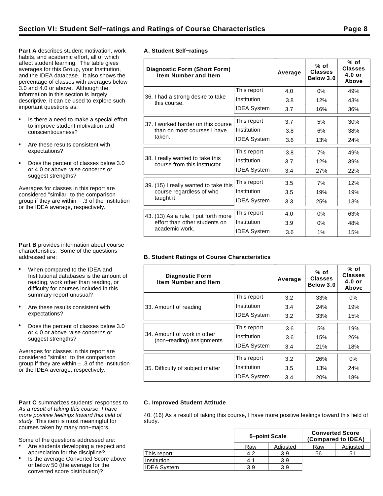**Part A** describes student motivation, work habits, and academic effort, all of which affect student learning. The table gives averages for this Group, your Institution, and the IDEA database. It also shows the percentage of classes with averages below 3.0 and 4.0 or above. Although the information in this section is largely descriptive, it can be used to explore such important questions as:

- Is there a need to make a special effort to improve student motivation and conscientiousness?
- Are these results consistent with expectations?
- Does the percent of classes below 3.0  $\bullet$ or 4.0 or above raise concerns or suggest strengths?

Averages for classes in this report are considered "similar" to the comparison group if they are within  $\pm$  .3 of the Institution or the IDEA average, respectively.

**Part B** provides information about course characteristics. Some of the questions addressed are:

- When compared to the IDEA and Institutional databases is the amount of reading, work other than reading, or difficulty for courses included in this summary report unusual?
- Are these results consistent with expectations?
- Does the percent of classes below 3.0 or 4.0 or above raise concerns or suggest strengths?

Averages for classes in this report are considered "similar" to the comparison group if they are within  $\pm$  .3 of the Institution or the IDEA average, respectively.

#### Part C summarizes students' responses to As a result of taking this course, I have more positive feelings toward this field of study. This item is most meaningful for courses taken by many non−majors.

Some of the questions addressed are:

- Are students developing a respect and appreciation for the discipline?
- Is the average Converted Score above or below 50 (the average for the converted score distribution)?

|  | A. Student Self-ratings |
|--|-------------------------|

| <b>Diagnostic Form (Short Form)</b><br><b>Item Number and Item</b> |                    | Average | $%$ of<br><b>Classes</b><br>Below 3.0 | % of<br><b>Classes</b><br>$4.0$ or<br>Above |
|--------------------------------------------------------------------|--------------------|---------|---------------------------------------|---------------------------------------------|
|                                                                    | This report        | 4.0     | 0%                                    | 49%                                         |
| 36. I had a strong desire to take<br>this course.                  | Institution        | 3.8     | 12%                                   | 43%                                         |
|                                                                    | <b>IDEA System</b> | 3.7     | 16%                                   | 36%                                         |
| 37. I worked harder on this course                                 | This report        | 3.7     | 5%                                    | 30%                                         |
| than on most courses I have                                        | Institution        | 3.8     | 6%                                    | 38%                                         |
| taken.                                                             | <b>IDEA System</b> | 3.6     | 13%                                   | 24%                                         |
|                                                                    | This report        | 3.8     | 7%                                    | 49%                                         |
| 38. I really wanted to take this<br>course from this instructor.   | Institution        | 3.7     | 12%                                   | 39%                                         |
|                                                                    | <b>IDEA System</b> | 3.4     | 27%                                   | 22%                                         |
| 39. (15) I really wanted to take this                              | This report        | 3.5     | 7%                                    | 12%                                         |
| course regardless of who                                           | Institution        | 3.5     | 19%                                   | 19%                                         |
| taught it.                                                         | <b>IDEA System</b> | 3.3     | 25%                                   | 13%                                         |
| 43. (13) As a rule, I put forth more                               | This report        | 4.0     | $0\%$                                 | 63%                                         |
| effort than other students on                                      | Institution        | 3.9     | 0%                                    | 48%                                         |
| academic work.                                                     | <b>IDEA System</b> | 3.6     | 1%                                    | 15%                                         |

#### **B. Student Ratings of Course Characteristics**

| <b>Diagnostic Form</b><br><b>Item Number and Item</b>    |                    | Average | % of<br><b>Classes</b><br>Below 3.0 | % of<br><b>Classes</b><br>$4.0$ or<br>Above |
|----------------------------------------------------------|--------------------|---------|-------------------------------------|---------------------------------------------|
|                                                          | This report        | 3.2     | 33%                                 | $0\%$                                       |
| 33. Amount of reading                                    | Institution        | 3.4     | 24%                                 | 19%                                         |
|                                                          | <b>IDEA System</b> | 3.2     | 33%                                 | 15%                                         |
|                                                          | This report        | 3.6     | 5%                                  | 19%                                         |
| 34. Amount of work in other<br>(non-reading) assignments | Institution        | 3.6     | 15%                                 | 26%                                         |
|                                                          | <b>IDEA System</b> | 3.4     | 21%                                 | 18%                                         |
|                                                          | This report        | 3.2     | 26%                                 | $0\%$                                       |
| 35. Difficulty of subject matter                         | Institution        | 3.5     | 13%                                 | <b>24%</b>                                  |
|                                                          | <b>IDEA</b> System | 3.4     | 20%                                 | 18%                                         |

#### **C. Improved Student Attitude**

40. (16) As a result of taking this course, I have more positive feelings toward this field of study.

|                    |     | 5-point Scale | <b>Converted Score</b><br>(Compared to IDEA) |          |  |  |
|--------------------|-----|---------------|----------------------------------------------|----------|--|--|
|                    | Raw | Adjusted      | Raw                                          | Adjusted |  |  |
| This report        | 4.2 | 3.9           | 56                                           | 51       |  |  |
| Institution        | 4.1 | 3.9           |                                              |          |  |  |
| <b>IDEA System</b> | 3.9 | 3.9           |                                              |          |  |  |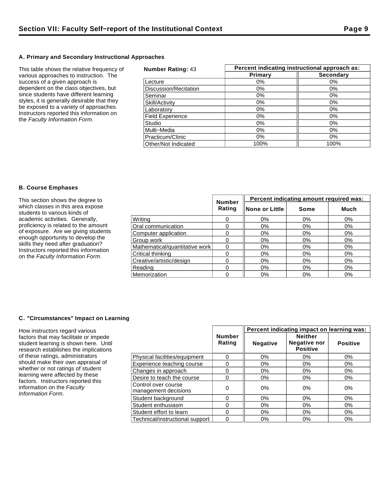#### **A. Primary and Secondary Instructional Approaches**

This table shows the relative frequency of various approaches to instruction. The success of a given approach is dependent on the class objectives, but since students have different learning styles, it is generally desirable that they be exposed to a variety of approaches. Instructors reported this information on the Faculty Information Form.

| <b>Number Rating: 43</b> | Percent indicating instructional approach as: |                  |  |  |  |
|--------------------------|-----------------------------------------------|------------------|--|--|--|
|                          | Primary                                       | <b>Secondary</b> |  |  |  |
| Lecture                  | $0\%$                                         | $0\%$            |  |  |  |
| Discussion/Recitation    | $0\%$                                         | $0\%$            |  |  |  |
| Seminar                  | 0%                                            | 0%               |  |  |  |
| Skill/Activity           | 0%                                            | 0%               |  |  |  |
| Laboratory               | $0\%$                                         | 0%               |  |  |  |
| <b>Field Experience</b>  | 0%                                            | $0\%$            |  |  |  |
| Studio                   | $0\%$                                         | $0\%$            |  |  |  |
| Multi-Media              | $0\%$                                         | $0\%$            |  |  |  |
| Practicum/Clinic         | $0\%$                                         | $0\%$            |  |  |  |
| Other/Not Indicated      | 100%                                          | 100%             |  |  |  |

#### **B. Course Emphases**

| This section shows the degree to                                          |                                | <b>Number</b> | Percent indicating amount required was: |       |       |  |  |
|---------------------------------------------------------------------------|--------------------------------|---------------|-----------------------------------------|-------|-------|--|--|
| which classes in this area expose<br>students to various kinds of         |                                | Rating        | ∥None or Little                         | Some  | Much  |  |  |
| academic activities. Generally,                                           | Writina                        |               | 0%                                      | 0%    | 0%    |  |  |
| proficiency is related to the amount                                      | Oral communication             |               | 0%                                      | 0%    | 0%    |  |  |
| of exposure. Are we giving students                                       | Computer application           |               | $0\%$                                   | 0%    | 0%    |  |  |
| enough opportunity to develop the                                         | Group work                     |               | 0%                                      | $0\%$ | $0\%$ |  |  |
| skills they need after graduation?                                        | Mathematical/quantitative work |               | 0%                                      | $0\%$ | 0%    |  |  |
| Instructors reported this information<br>on the Faculty Information Form. | Critical thinking              |               | 0%                                      | 0%    | $0\%$ |  |  |
|                                                                           | Creative/artistic/design       |               | 0%                                      | 0%    | 0%    |  |  |
|                                                                           | Reading                        |               | 0%                                      | $0\%$ | 0%    |  |  |
|                                                                           | Memorization                   |               | 0%                                      | $0\%$ | 0%    |  |  |

#### **C. "Circumstances" Impact on Learning**

How instructors regard various factors that may facilitate or impede student learning is shown here. Until research establishes the implications of these ratings, administrators should make their own appraisal of whether or not ratings of student learning were affected by these factors. Instructors reported this information on the Faculty Information Form.

|                                             |                         | Percent indicating impact on learning was: |                                                          |                 |  |
|---------------------------------------------|-------------------------|--------------------------------------------|----------------------------------------------------------|-----------------|--|
|                                             | <b>Number</b><br>Rating | <b>Negative</b>                            | <b>Neither</b><br><b>Negative nor</b><br><b>Positive</b> | <b>Positive</b> |  |
| Physical facilities/equipment               | 0                       | 0%                                         | $0\%$                                                    | 0%              |  |
| Experience teaching course                  | 0                       | 0%                                         | 0%                                                       | 0%              |  |
| Changes in approach                         | 0                       | $0\%$                                      | 0%                                                       | 0%              |  |
| Desire to teach the course                  | 0                       | $0\%$                                      | 0%                                                       | $0\%$           |  |
| Control over course<br>management decisions | 0                       | $0\%$                                      | 0%                                                       | 0%              |  |
| Student background                          | 0                       | 0%                                         | 0%                                                       | $0\%$           |  |
| Student enthusiasm                          | 0                       | $0\%$                                      | 0%                                                       | 0%              |  |
| Student effort to learn                     | 0                       | 0%                                         | 0%                                                       | 0%              |  |
| Technical/instructional support             | 0                       | 0%                                         | $0\%$                                                    | 0%              |  |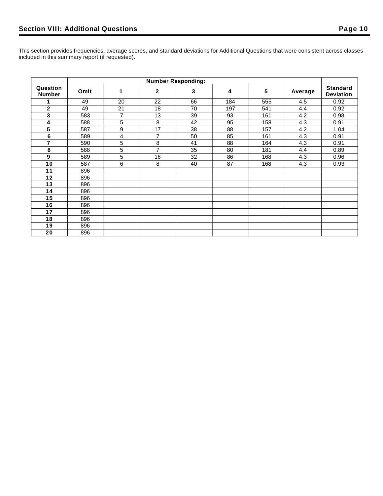This section provides frequencies, average scores, and standard deviations for Additional Questions that were consistent across classes included in this summary report (if requested).

| Question<br><b>Number</b> | Omit | 1              | $\overline{2}$ | 3  | 4   | $5\phantom{.0}$ | Average | <b>Standard</b><br><b>Deviation</b> |
|---------------------------|------|----------------|----------------|----|-----|-----------------|---------|-------------------------------------|
|                           | 49   | 20             | 22             | 66 | 184 | 555             | 4.5     | 0.92                                |
| $\mathbf{2}$              | 49   | 21             | 18             | 70 | 197 | 541             | 4.4     | 0.92                                |
| 3                         | 583  | $\overline{7}$ | 13             | 39 | 93  | 161             | 4.2     | 0.98                                |
| 4                         | 588  | 5              | 8              | 42 | 95  | 158             | 4.3     | 0.91                                |
| 5                         | 587  | 9              | 17             | 38 | 88  | 157             | 4.2     | 1.04                                |
| 6                         | 589  | 4              | $\overline{7}$ | 50 | 85  | 161             | 4.3     | 0.91                                |
| 7                         | 590  | 5              | 8              | 41 | 88  | 164             | 4.3     | 0.91                                |
| 8                         | 588  | 5              | $\overline{7}$ | 35 | 80  | 181             | 4.4     | 0.89                                |
| 9                         | 589  | 5              | 16             | 32 | 86  | 168             | 4.3     | 0.96                                |
| 10                        | 587  | 6              | 8              | 40 | 87  | 168             | 4.3     | 0.93                                |
| 11                        | 896  |                |                |    |     |                 |         |                                     |
| 12                        | 896  |                |                |    |     |                 |         |                                     |
| 13                        | 896  |                |                |    |     |                 |         |                                     |
| 14                        | 896  |                |                |    |     |                 |         |                                     |
| 15                        | 896  |                |                |    |     |                 |         |                                     |
| 16                        | 896  |                |                |    |     |                 |         |                                     |
| 17                        | 896  |                |                |    |     |                 |         |                                     |
| 18                        | 896  |                |                |    |     |                 |         |                                     |
| 19                        | 896  |                |                |    |     |                 |         |                                     |
| 20                        | 896  |                |                |    |     |                 |         |                                     |